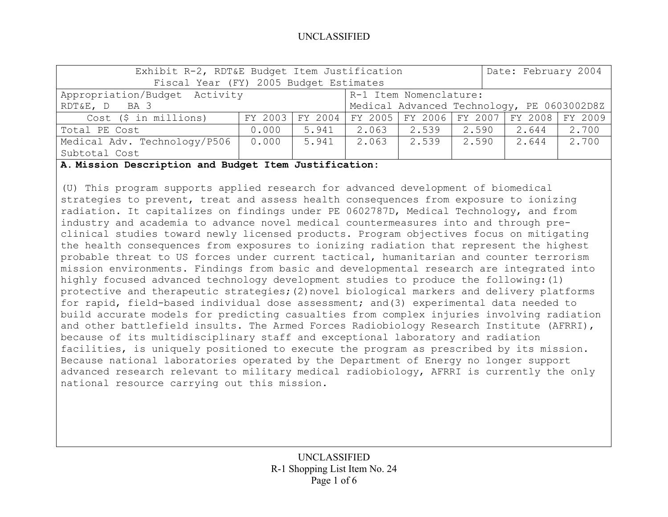| Exhibit R-2, RDT&E Budget Item Justification<br>Fiscal Year (FY) 2005 Budget Estimates |         |                                            |                         |       | Date: February 2004 |                 |       |
|----------------------------------------------------------------------------------------|---------|--------------------------------------------|-------------------------|-------|---------------------|-----------------|-------|
| Appropriation/Budget Activity<br>R-1 Item Nomenclature:                                |         |                                            |                         |       |                     |                 |       |
| RDT&E, D BA 3                                                                          |         | Medical Advanced Technology, PE 0603002D8Z |                         |       |                     |                 |       |
| Cost (\$ in millions)                                                                  | FY 2003 |                                            | FY 2004 FY 2005 FY 2006 |       | FY 2007             | FY 2008 FY 2009 |       |
| Total PE Cost                                                                          | 0.000   | 5.941                                      | 2.063                   | 2.539 | 2.590               | 2.644           | 2.700 |
| Medical Adv. Technology/P506                                                           | 0.000   | 5.941                                      | 2.063                   | 2.539 | 2,590               | 2.644           | 2.700 |
| Subtotal Cost                                                                          |         |                                            |                         |       |                     |                 |       |

**A. Mission Description and Budget Item Justification:** 

(U) This program supports applied research for advanced development of biomedical strategies to prevent, treat and assess health consequences from exposure to ionizing radiation. It capitalizes on findings under PE 0602787D, Medical Technology, and from industry and academia to advance novel medical countermeasures into and through preclinical studies toward newly licensed products. Program objectives focus on mitigating the health consequences from exposures to ionizing radiation that represent the highest probable threat to US forces under current tactical, humanitarian and counter terrorism mission environments. Findings from basic and developmental research are integrated into highly focused advanced technology development studies to produce the following:(1) protective and therapeutic strategies;(2)novel biological markers and delivery platforms for rapid, field-based individual dose assessment; and(3) experimental data needed to build accurate models for predicting casualties from complex injuries involving radiation and other battlefield insults. The Armed Forces Radiobiology Research Institute (AFRRI), because of its multidisciplinary staff and exceptional laboratory and radiation facilities, is uniquely positioned to execute the program as prescribed by its mission. Because national laboratories operated by the Department of Energy no longer support advanced research relevant to military medical radiobiology, AFRRI is currently the only national resource carrying out this mission.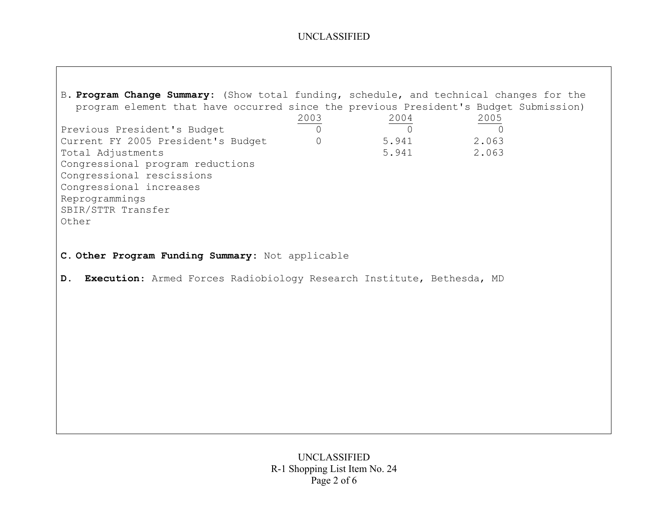B. **Program Change Summary:** (Show total funding, schedule, and technical changes for the program element that have occurred since the previous President's Budget Submission) 2003 2004 2005 Previous President's Budget 0 0 0 Current FY 2005 President's Budget 0 5.941 2.063 Total Adjustments 5.941 2.063 Congressional program reductions Congressional rescissions Congressional increases Reprogrammings SBIR/STTR Transfer Other **C. Other Program Funding Summary:** Not applicable **D. Execution**: Armed Forces Radiobiology Research Institute, Bethesda, MD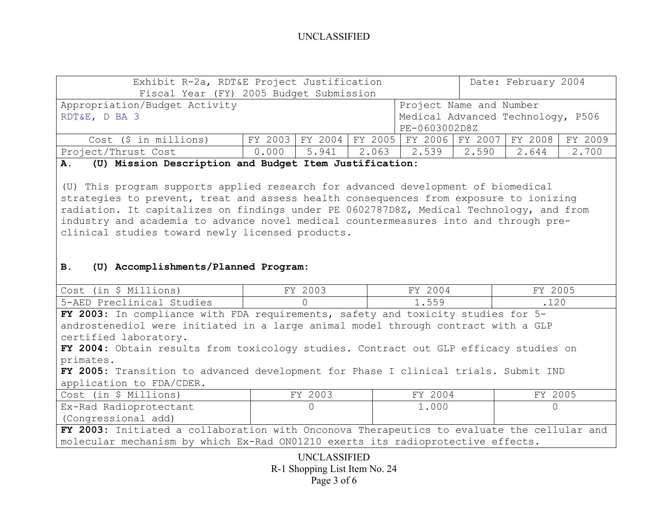| Exhibit R-2a, RDT&E Project Justification<br>Date: February 2004                        |         |         |       |                                   |         |         |         |
|-----------------------------------------------------------------------------------------|---------|---------|-------|-----------------------------------|---------|---------|---------|
|                                                                                         |         |         |       |                                   |         |         |         |
| Fiscal Year (FY) 2005 Budget Submission                                                 |         |         |       |                                   |         |         |         |
| Appropriation/Budget Activity                                                           |         |         |       | Project Name and Number           |         |         |         |
| RDT&E, D BA 3                                                                           |         |         |       | Medical Advanced Technology, P506 |         |         |         |
|                                                                                         |         |         |       | PE-0603002D8Z                     |         |         |         |
| $Cost$ (\$ in millions)                                                                 | FY 2003 |         |       | FY 2004 FY 2005 FY 2006           | FY 2007 | FY 2008 | FY 2009 |
| Project/Thrust Cost                                                                     | 0.000   | 5.941   | 2.063 | 2.539                             | 2.590   | 2.644   | 2.700   |
| (U) Mission Description and Budget Item Justification:<br>А.                            |         |         |       |                                   |         |         |         |
|                                                                                         |         |         |       |                                   |         |         |         |
| (U) This program supports applied research for advanced development of biomedical       |         |         |       |                                   |         |         |         |
| strategies to prevent, treat and assess health consequences from exposure to ionizing   |         |         |       |                                   |         |         |         |
| radiation. It capitalizes on findings under PE 0602787D8Z, Medical Technology, and from |         |         |       |                                   |         |         |         |
| industry and academia to advance novel medical countermeasures into and through pre-    |         |         |       |                                   |         |         |         |
|                                                                                         |         |         |       |                                   |         |         |         |
| clinical studies toward newly licensed products.                                        |         |         |       |                                   |         |         |         |
|                                                                                         |         |         |       |                                   |         |         |         |
|                                                                                         |         |         |       |                                   |         |         |         |
| (U) Accomplishments/Planned Program:<br><b>B.</b>                                       |         |         |       |                                   |         |         |         |
|                                                                                         |         |         |       |                                   |         |         |         |
| Cost (in \$ Millions)                                                                   |         | FY 2003 |       | FY 2004                           |         | FY 2005 |         |
| 5-AED Preclinical Studies<br>$\Omega$<br>1.559<br>.120                                  |         |         |       |                                   |         |         |         |
| FY 2003: In compliance with FDA requirements, safety and toxicity studies for 5-        |         |         |       |                                   |         |         |         |
| androstenediol were initiated in a large animal model through contract with a GLP       |         |         |       |                                   |         |         |         |
| certified laboratory.                                                                   |         |         |       |                                   |         |         |         |
| FY 2004: Obtain results from toxicology studies. Contract out GLP efficacy studies on   |         |         |       |                                   |         |         |         |
| primates.                                                                               |         |         |       |                                   |         |         |         |

**FY 2005:** Transition to advanced development for Phase I clinical trials. Submit IND application to FDA/CDER.

| Cost (in \$ Millions)                                                                                   | FY 2003 | FY 2004 | FY 2005 |  |  |
|---------------------------------------------------------------------------------------------------------|---------|---------|---------|--|--|
| Ex-Rad Radioprotectant                                                                                  |         | 000     |         |  |  |
| (Congressional add)                                                                                     |         |         |         |  |  |
| 1 – 1990، 1991، 1991، 1992، 1993، 1994، 1994، 1992، 1993، 1994، 1994، 1994، 1994، 1994، 1994، 1994، 199 |         |         |         |  |  |

**FY 2003:** Initiated a collaboration with Onconova Therapeutics to evaluate the cellular and molecular mechanism by which Ex-Rad ON01210 exerts its radioprotective effects.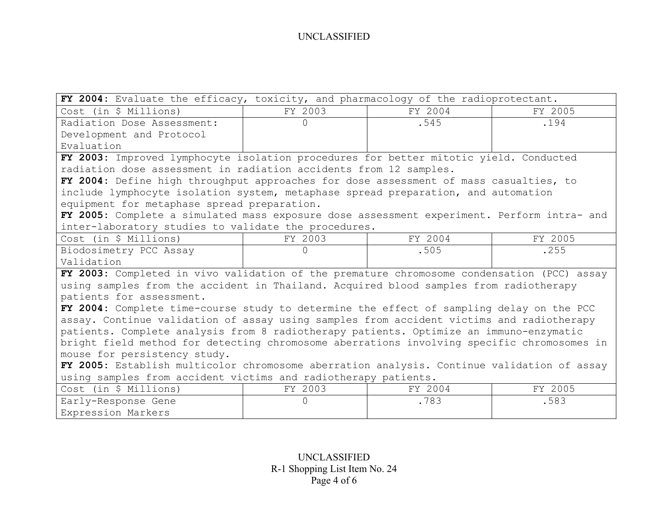| FY 2004: Evaluate the efficacy, toxicity, and pharmacology of the radioprotectant.         |         |         |         |  |  |
|--------------------------------------------------------------------------------------------|---------|---------|---------|--|--|
| Cost (in \$ Millions)                                                                      | FY 2003 | FY 2004 | FY 2005 |  |  |
| Radiation Dose Assessment:                                                                 | 0       | .545    | .194    |  |  |
| Development and Protocol                                                                   |         |         |         |  |  |
| Evaluation                                                                                 |         |         |         |  |  |
| FY 2003: Improved lymphocyte isolation procedures for better mitotic yield. Conducted      |         |         |         |  |  |
| radiation dose assessment in radiation accidents from 12 samples.                          |         |         |         |  |  |
| FY 2004: Define high throughput approaches for dose assessment of mass casualties, to      |         |         |         |  |  |
| include lymphocyte isolation system, metaphase spread preparation, and automation          |         |         |         |  |  |
| equipment for metaphase spread preparation.                                                |         |         |         |  |  |
| FY 2005: Complete a simulated mass exposure dose assessment experiment. Perform intra- and |         |         |         |  |  |
| inter-laboratory studies to validate the procedures.                                       |         |         |         |  |  |
| Cost (in \$ Millions)                                                                      | FY 2003 | FY 2004 | FY 2005 |  |  |
| Biodosimetry PCC Assay                                                                     | 0       | .505    | .255    |  |  |
| Validation                                                                                 |         |         |         |  |  |
| FY 2003: Completed in vivo validation of the premature chromosome condensation (PCC) assay |         |         |         |  |  |
| using samples from the accident in Thailand. Acquired blood samples from radiotherapy      |         |         |         |  |  |
| patients for assessment.                                                                   |         |         |         |  |  |
| FY 2004: Complete time-course study to determine the effect of sampling delay on the PCC   |         |         |         |  |  |
| assay. Continue validation of assay using samples from accident victims and radiotherapy   |         |         |         |  |  |
| patients. Complete analysis from 8 radiotherapy patients. Optimize an immuno-enzymatic     |         |         |         |  |  |
| bright field method for detecting chromosome aberrations involving specific chromosomes in |         |         |         |  |  |
| mouse for persistency study.                                                               |         |         |         |  |  |
| FY 2005: Establish multicolor chromosome aberration analysis. Continue validation of assay |         |         |         |  |  |
| using samples from accident victims and radiotherapy patients.                             |         |         |         |  |  |
| Cost (in \$ Millions)                                                                      | FY 2003 | FY 2004 | FY 2005 |  |  |
| Early-Response Gene                                                                        |         | .783    | .583    |  |  |
| Expression Markers                                                                         |         |         |         |  |  |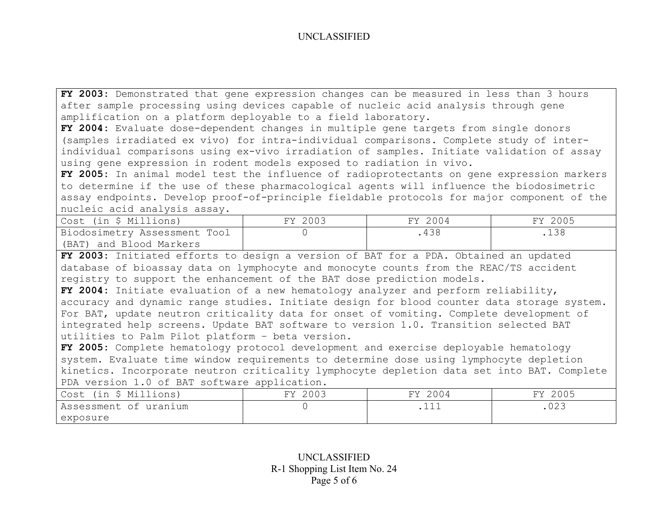**FY 2003:** Demonstrated that gene expression changes can be measured in less than 3 hours after sample processing using devices capable of nucleic acid analysis through gene amplification on a platform deployable to a field laboratory.

**FY 2004:** Evaluate dose-dependent changes in multiple gene targets from single donors (samples irradiated ex vivo) for intra-individual comparisons. Complete study of interindividual comparisons using ex-vivo irradiation of samples. Initiate validation of assay using gene expression in rodent models exposed to radiation in vivo.

**FY 2005:** In animal model test the influence of radioprotectants on gene expression markers to determine if the use of these pharmacological agents will influence the biodosimetric assay endpoints. Develop proof-of-principle fieldable protocols for major component of the nucleic acid analysis assay.

| Cost (in \$ Millions)        | FY 2003 | FY 2004 | FY 2005 |
|------------------------------|---------|---------|---------|
| Biodosimetry Assessment Tool |         | 438     |         |
| (BAT) and Blood Markers      |         |         |         |

**FY 2003:** Initiated efforts to design a version of BAT for a PDA. Obtained an updated database of bioassay data on lymphocyte and monocyte counts from the REAC/TS accident registry to support the enhancement of the BAT dose prediction models.

**FY 2004:** Initiate evaluation of a new hematology analyzer and perform reliability, accuracy and dynamic range studies. Initiate design for blood counter data storage system. For BAT, update neutron criticality data for onset of vomiting. Complete development of integrated help screens. Update BAT software to version 1.0. Transition selected BAT utilities to Palm Pilot platform – beta version.

**FY 2005:** Complete hematology protocol development and exercise deployable hematology system. Evaluate time window requirements to determine dose using lymphocyte depletion kinetics. Incorporate neutron criticality lymphocyte depletion data set into BAT. Complete PDA version 1.0 of BAT software application.

| <sup>S</sup> Millions)<br>Cost<br>in | $\cap$ $\cap$ $\cap$<br><b>EV</b><br>ZUU3 | 2004<br>T T T | 2005<br><b>TTV</b> |
|--------------------------------------|-------------------------------------------|---------------|--------------------|
| Assessment of uranium                |                                           | ---           | へへへ<br>Uムコ         |
| exposure                             |                                           |               |                    |